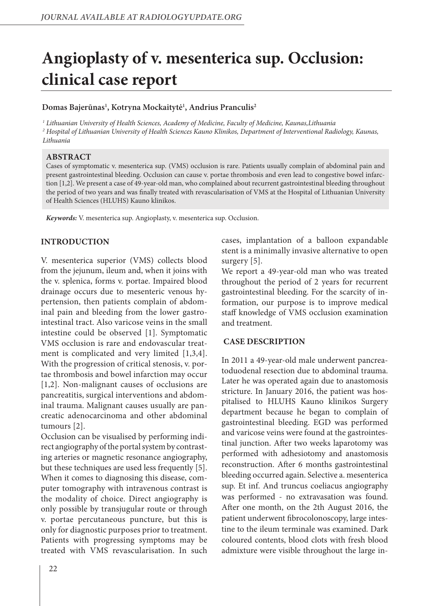# **Angioplasty of v. mesenterica sup. Occlusion: clinical case report**

## **Domas Bajerūnas1 , Kotryna Mockaitytė1 , Andrius Pranculis2**

*1 Lithuanian University of Health Sciences, Academy of Medicine, Faculty of Medicine, Kaunas,Lithuania 2 Hospital of Lithuanian University of Health Sciences Kauno Klinikos, Department of Interventional Radiology, Kaunas, Lithuania*

### **ABSTRACT**

Cases of symptomatic v. mesenterica sup. (VMS) occlusion is rare. Patients usually complain of abdominal pain and present gastrointestinal bleeding. Occlusion can cause v. portae thrombosis and even lead to congestive bowel infarction [1,2]. We present a case of 49-year-old man, who complained about recurrent gastrointestinal bleeding throughout the period of two years and was finally treated with revascularisation of VMS at the Hospital of Lithuanian University of Health Sciences (HLUHS) Kauno klinikos.

*Keywords:* V. mesenterica sup. Angioplasty, v. mesenterica sup. Occlusion.

# **INTRODUCTION**

V. mesenterica superior (VMS) collects blood from the jejunum, ileum and, when it joins with the v. splenica, forms v. portae. Impaired blood drainage occurs due to mesenteric venous hypertension, then patients complain of abdominal pain and bleeding from the lower gastrointestinal tract. Also varicose veins in the small intestine could be observed [1]. Symptomatic VMS occlusion is rare and endovascular treatment is complicated and very limited [1,3,4]. With the progression of critical stenosis, v. portae thrombosis and bowel infarction may occur [1,2]. Non-malignant causes of occlusions are pancreatitis, surgical interventions and abdominal trauma. Malignant causes usually are pancreatic adenocarcinoma and other abdominal tumours [2].

Occlusion can be visualised by performing indirect angiography of the portal system by contrasting arteries or magnetic resonance angiography, but these techniques are used less frequently [5]. When it comes to diagnosing this disease, computer tomography with intravenous contrast is the modality of choice. Direct angiography is only possible by transjugular route or through v. portae percutaneous puncture, but this is only for diagnostic purposes prior to treatment. Patients with progressing symptoms may be treated with VMS revascularisation. In such

cases, implantation of a balloon expandable stent is a minimally invasive alternative to open surgery [5].

We report a 49-year-old man who was treated throughout the period of 2 years for recurrent gastrointestinal bleeding. For the scarcity of information, our purpose is to improve medical staff knowledge of VMS occlusion examination and treatment.

#### **CASE DESCRIPTION**

In 2011 a 49-year-old male underwent pancreatoduodenal resection due to abdominal trauma. Later he was operated again due to anastomosis stricture. In January 2016, the patient was hospitalised to HLUHS Kauno klinikos Surgery department because he began to complain of gastrointestinal bleeding. EGD was performed and varicose veins were found at the gastrointestinal junction. After two weeks laparotomy was performed with adhesiotomy and anastomosis reconstruction. After 6 months gastrointestinal bleeding occurred again. Selective a. mesenterica sup. Et inf. And truncus coeliacus angiography was performed - no extravasation was found. After one month, on the 2th August 2016, the patient underwent fibrocolonoscopy, large intestine to the ileum terminale was examined. Dark coloured contents, blood clots with fresh blood admixture were visible throughout the large in-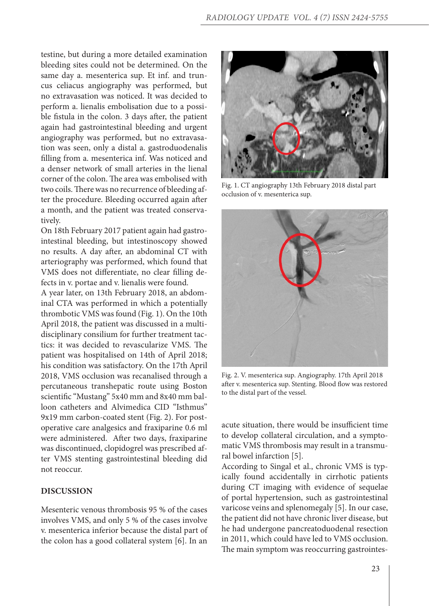testine, but during a more detailed examination bleeding sites could not be determined. On the same day a. mesenterica sup. Et inf. and truncus celiacus angiography was performed, but no extravasation was noticed. It was decided to perform a. lienalis embolisation due to a possible fistula in the colon. 3 days after, the patient again had gastrointestinal bleeding and urgent angiography was performed, but no extravasation was seen, only a distal a. gastroduodenalis filling from a. mesenterica inf. Was noticed and a denser network of small arteries in the lienal corner of the colon. The area was embolised with two coils. There was no recurrence of bleeding after the procedure. Bleeding occurred again after a month, and the patient was treated conservatively.

On 18th February 2017 patient again had gastrointestinal bleeding, but intestinoscopy showed no results. A day after, an abdominal CT with arteriography was performed, which found that VMS does not differentiate, no clear filling defects in v. portae and v. lienalis were found.

A year later, on 13th February 2018, an abdominal CTA was performed in which a potentially thrombotic VMS was found (Fig. 1). On the 10th April 2018, the patient was discussed in a multidisciplinary consilium for further treatment tactics: it was decided to revascularize VMS. The patient was hospitalised on 14th of April 2018; his condition was satisfactory. On the 17th April 2018, VMS occlusion was recanalised through a percutaneous transhepatic route using Boston scientific "Mustang" 5x40 mm and 8x40 mm balloon catheters and Alvimedica CID "Isthmus" 9x19 mm carbon-coated stent (Fig. 2). For postoperative care analgesics and fraxiparine 0.6 ml were administered. After two days, fraxiparine was discontinued, clopidogrel was prescribed after VMS stenting gastrointestinal bleeding did not reoccur.

#### **DISCUSSION**

Mesenteric venous thrombosis 95 % of the cases involves VMS, and only 5 % of the cases involve v. mesenterica inferior because the distal part of the colon has a good collateral system [6]. In an



Fig. 1. CT angiography 13th February 2018 distal part occlusion of v. mesenterica sup.



Fig. 2. V. mesenterica sup. Angiography. 17th April 2018 after v. mesenterica sup. Stenting. Blood flow was restored to the distal part of the vessel.

acute situation, there would be insufficient time to develop collateral circulation, and a symptomatic VMS thrombosis may result in a transmural bowel infarction [5].

According to Singal et al., chronic VMS is typically found accidentally in cirrhotic patients during CT imaging with evidence of sequelae of portal hypertension, such as gastrointestinal varicose veins and splenomegaly [5]. In our case, the patient did not have chronic liver disease, but he had undergone pancreatoduodenal resection in 2011, which could have led to VMS occlusion. The main symptom was reoccurring gastrointes-